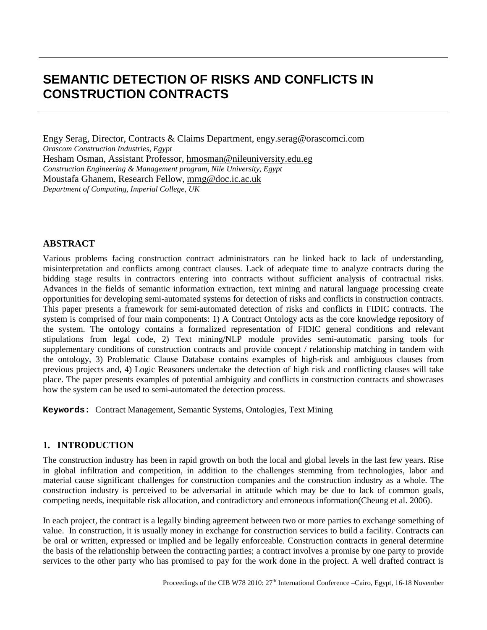# **SEMANTIC DETECTION OF RISKS AND CONFLICTS IN CONSTRUCTION CONTRACTS**

Engy Serag, Director, Contracts & Claims Department, [engy.serag@orascomci.com](mailto:engy.serag@orascomci.com) *Orascom Construction Industries, Egypt* Hesham Osman, Assistant Professor, [hmosman@nileuniversity.edu.eg](mailto:hmosman@nileuniversity.edu.eg) *Construction Engineering & Management program, Nile University, Egypt* Moustafa Ghanem, Research Fellow, [mmg@doc.ic.ac.uk](mailto:mmg@doc.ic.ac.uk) *Department of Computing, Imperial College, UK*

# **ABSTRACT**

Various problems facing construction contract administrators can be linked back to lack of understanding, misinterpretation and conflicts among contract clauses. Lack of adequate time to analyze contracts during the bidding stage results in contractors entering into contracts without sufficient analysis of contractual risks. Advances in the fields of semantic information extraction, text mining and natural language processing create opportunities for developing semi-automated systems for detection of risks and conflicts in construction contracts. This paper presents a framework for semi-automated detection of risks and conflicts in FIDIC contracts. The system is comprised of four main components: 1) A Contract Ontology acts as the core knowledge repository of the system. The ontology contains a formalized representation of FIDIC general conditions and relevant stipulations from legal code, 2) Text mining/NLP module provides semi-automatic parsing tools for supplementary conditions of construction contracts and provide concept / relationship matching in tandem with the ontology, 3) Problematic Clause Database contains examples of high-risk and ambiguous clauses from previous projects and, 4) Logic Reasoners undertake the detection of high risk and conflicting clauses will take place. The paper presents examples of potential ambiguity and conflicts in construction contracts and showcases how the system can be used to semi-automated the detection process.

**Keywords:** Contract Management, Semantic Systems, Ontologies, Text Mining

# **1. INTRODUCTION**

The construction industry has been in rapid growth on both the local and global levels in the last few years. Rise in global infiltration and competition, in addition to the challenges stemming from technologies, labor and material cause significant challenges for construction companies and the construction industry as a whole. The construction industry is perceived to be adversarial in attitude which may be due to lack of common goals, competing needs, inequitable risk allocation, and contradictory and erroneous information(Cheung et al. 2006).

In each project, the contract is a legally binding agreement between two or more parties to exchange something of value. In construction, it is usually money in exchange for construction services to build a facility. Contracts can be oral or written, expressed or implied and be legally enforceable. Construction contracts in general determine the basis of the relationship between the contracting parties; a contract involves a promise by one party to provide services to the other party who has promised to pay for the work done in the project. A well drafted contract is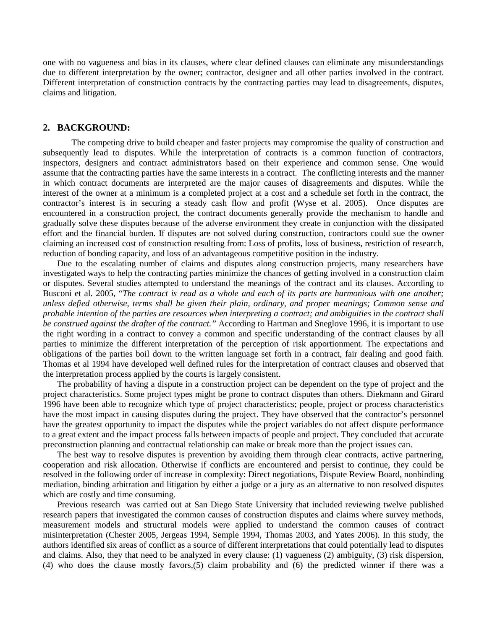one with no vagueness and bias in its clauses, where clear defined clauses can eliminate any misunderstandings due to different interpretation by the owner; contractor, designer and all other parties involved in the contract. Different interpretation of construction contracts by the contracting parties may lead to disagreements, disputes, claims and litigation.

#### **2. BACKGROUND:**

The competing drive to build cheaper and faster projects may compromise the quality of construction and subsequently lead to disputes. While the interpretation of contracts is a common function of contractors, inspectors, designers and contract administrators based on their experience and common sense. One would assume that the contracting parties have the same interests in a contract. The conflicting interests and the manner in which contract documents are interpreted are the major causes of disagreements and disputes. While the interest of the owner at a minimum is a completed project at a cost and a schedule set forth in the contract, the contractor's interest is in securing a steady cash flow and profit (Wyse et al. 2005). Once disputes are encountered in a construction project, the contract documents generally provide the mechanism to handle and gradually solve these disputes because of the adverse environment they create in conjunction with the dissipated effort and the financial burden. If disputes are not solved during construction, contractors could sue the owner claiming an increased cost of construction resulting from: Loss of profits, loss of business, restriction of research, reduction of bonding capacity, and loss of an advantageous competitive position in the industry.

Due to the escalating number of claims and disputes along construction projects, many researchers have investigated ways to help the contracting parties minimize the chances of getting involved in a construction claim or disputes. Several studies attempted to understand the meanings of the contract and its clauses. According to Busconi et al. 2005, "*The contract is read as a whole and each of its parts are harmonious with one another; unless defied otherwise, terms shall be given their plain, ordinary, and proper meanings; Common sense and probable intention of the parties are resources when interpreting a contract; and ambiguities in the contract shall be construed against the drafter of the contract."* According to Hartman and Sneglove 1996, it is important to use the right wording in a contract to convey a common and specific understanding of the contract clauses by all parties to minimize the different interpretation of the perception of risk apportionment. The expectations and obligations of the parties boil down to the written language set forth in a contract, fair dealing and good faith. Thomas et al 1994 have developed well defined rules for the interpretation of contract clauses and observed that the interpretation process applied by the courts is largely consistent.

The probability of having a dispute in a construction project can be dependent on the type of project and the project characteristics. Some project types might be prone to contract disputes than others. Diekmann and Girard 1996 have been able to recognize which type of project characteristics; people, project or process characteristics have the most impact in causing disputes during the project. They have observed that the contractor's personnel have the greatest opportunity to impact the disputes while the project variables do not affect dispute performance to a great extent and the impact process falls between impacts of people and project. They concluded that accurate preconstruction planning and contractual relationship can make or break more than the project issues can.

The best way to resolve disputes is prevention by avoiding them through clear contracts, active partnering, cooperation and risk allocation. Otherwise if conflicts are encountered and persist to continue, they could be resolved in the following order of increase in complexity: Direct negotiations, Dispute Review Board, nonbinding mediation, binding arbitration and litigation by either a judge or a jury as an alternative to non resolved disputes which are costly and time consuming.

Previous research was carried out at San Diego State University that included reviewing twelve published research papers that investigated the common causes of construction disputes and claims where survey methods, measurement models and structural models were applied to understand the common causes of contract misinterpretation (Chester 2005, Jergeas 1994, Semple 1994, Thomas 2003, and Yates 2006). In this study, the authors identified six areas of conflict as a source of different interpretations that could potentially lead to disputes and claims. Also, they that need to be analyzed in every clause: (1) vagueness (2) ambiguity, (3) risk dispersion, (4) who does the clause mostly favors,(5) claim probability and (6) the predicted winner if there was a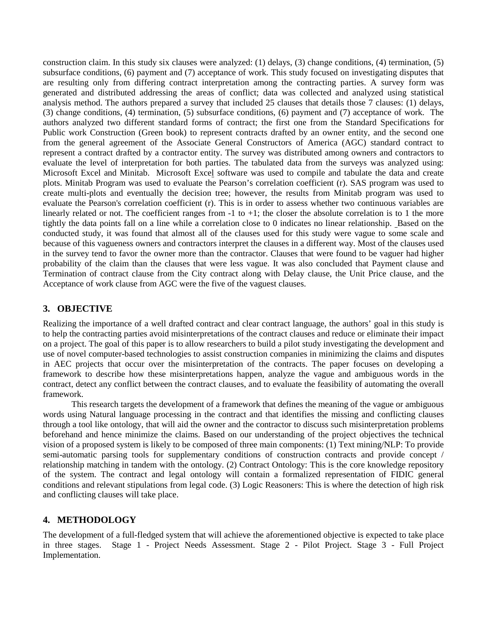construction claim. In this study six clauses were analyzed: (1) delays, (3) change conditions, (4) termination, (5) subsurface conditions, (6) payment and (7) acceptance of work. This study focused on investigating disputes that are resulting only from differing contract interpretation among the contracting parties. A survey form was generated and distributed addressing the areas of conflict; data was collected and analyzed using statistical analysis method. The authors prepared a survey that included 25 clauses that details those 7 clauses: (1) delays, (3) change conditions, (4) termination, (5) subsurface conditions, (6) payment and (7) acceptance of work. The authors analyzed two different standard forms of contract; the first one from the Standard Specifications for Public work Construction (Green book) to represent contracts drafted by an owner entity, and the second one from the general agreement of the Associate General Constructors of America (AGC) standard contract to represent a contract drafted by a contractor entity. The survey was distributed among owners and contractors to evaluate the level of interpretation for both parties. The tabulated data from the surveys was analyzed using: Microsoft Excel and Minitab. Microsoft Excel software was used to compile and tabulate the data and create plots. Minitab Program was used to evaluate the Pearson's correlation coefficient (r). SAS program was used to create multi-plots and eventually the decision tree; however, the results from Minitab program was used to evaluate the Pearson's correlation coefficient (r). This is in order to assess whether two continuous variables are linearly related or not. The coefficient ranges from  $-1$  to  $+1$ ; the closer the absolute correlation is to 1 the more tightly the data points fall on a line while a correlation close to 0 indicates no linear relationship. Based on the conducted study, it was found that almost all of the clauses used for this study were vague to some scale and because of this vagueness owners and contractors interpret the clauses in a different way. Most of the clauses used in the survey tend to favor the owner more than the contractor. Clauses that were found to be vaguer had higher probability of the claim than the clauses that were less vague. It was also concluded that Payment clause and Termination of contract clause from the City contract along with Delay clause, the Unit Price clause, and the Acceptance of work clause from AGC were the five of the vaguest clauses.

# **3. OBJECTIVE**

Realizing the importance of a well drafted contract and clear contract language, the authors' goal in this study is to help the contracting parties avoid misinterpretations of the contract clauses and reduce or eliminate their impact on a project. The goal of this paper is to allow researchers to build a pilot study investigating the development and use of novel computer-based technologies to assist construction companies in minimizing the claims and disputes in AEC projects that occur over the misinterpretation of the contracts. The paper focuses on developing a framework to describe how these misinterpretations happen, analyze the vague and ambiguous words in the contract, detect any conflict between the contract clauses, and to evaluate the feasibility of automating the overall framework.

This research targets the development of a framework that defines the meaning of the vague or ambiguous words using Natural language processing in the contract and that identifies the missing and conflicting clauses through a tool like ontology, that will aid the owner and the contractor to discuss such misinterpretation problems beforehand and hence minimize the claims. Based on our understanding of the project objectives the technical vision of a proposed system is likely to be composed of three main components: (1) Text mining/NLP: To provide semi-automatic parsing tools for supplementary conditions of construction contracts and provide concept / relationship matching in tandem with the ontology. (2) Contract Ontology: This is the core knowledge repository of the system. The contract and legal ontology will contain a formalized representation of FIDIC general conditions and relevant stipulations from legal code. (3) Logic Reasoners: This is where the detection of high risk and conflicting clauses will take place.

## **4. METHODOLOGY**

The development of a full-fledged system that will achieve the aforementioned objective is expected to take place in three stages. Stage 1 - Project Needs Assessment. Stage 2 - Pilot Project. Stage 3 - Full Project Implementation.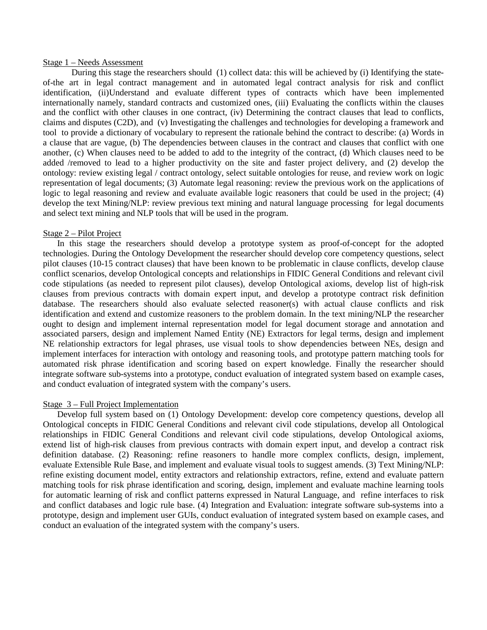#### Stage 1 – Needs Assessment

During this stage the researchers should (1) collect data: this will be achieved by (i) Identifying the stateof-the art in legal contract management and in automated legal contract analysis for risk and conflict identification, (ii)Understand and evaluate different types of contracts which have been implemented internationally namely, standard contracts and customized ones, (iii) Evaluating the conflicts within the clauses and the conflict with other clauses in one contract, (iv) Determining the contract clauses that lead to conflicts, claims and disputes (C2D), and (v) Investigating the challenges and technologies for developing a framework and tool to provide a dictionary of vocabulary to represent the rationale behind the contract to describe: (a) Words in a clause that are vague, (b) The dependencies between clauses in the contract and clauses that conflict with one another, (c) When clauses need to be added to add to the integrity of the contract, (d) Which clauses need to be added /removed to lead to a higher productivity on the site and faster project delivery, and (2) develop the ontology: review existing legal / contract ontology, select suitable ontologies for reuse, and review work on logic representation of legal documents; (3) Automate legal reasoning: review the previous work on the applications of logic to legal reasoning and review and evaluate available logic reasoners that could be used in the project; (4) develop the text Mining/NLP: review previous text mining and natural language processing for legal documents and select text mining and NLP tools that will be used in the program.

#### Stage 2 – Pilot Project

In this stage the researchers should develop a prototype system as proof-of-concept for the adopted technologies. During the Ontology Development the researcher should develop core competency questions, select pilot clauses (10-15 contract clauses) that have been known to be problematic in clause conflicts, develop clause conflict scenarios, develop Ontological concepts and relationships in FIDIC General Conditions and relevant civil code stipulations (as needed to represent pilot clauses), develop Ontological axioms, develop list of high-risk clauses from previous contracts with domain expert input, and develop a prototype contract risk definition database. The researchers should also evaluate selected reasoner(s) with actual clause conflicts and risk identification and extend and customize reasoners to the problem domain. In the text mining/NLP the researcher ought to design and implement internal representation model for legal document storage and annotation and associated parsers, design and implement Named Entity (NE) Extractors for legal terms, design and implement NE relationship extractors for legal phrases, use visual tools to show dependencies between NEs, design and implement interfaces for interaction with ontology and reasoning tools, and prototype pattern matching tools for automated risk phrase identification and scoring based on expert knowledge. Finally the researcher should integrate software sub-systems into a prototype, conduct evaluation of integrated system based on example cases, and conduct evaluation of integrated system with the company's users.

#### Stage 3 – Full Project Implementation

Develop full system based on (1) Ontology Development: develop core competency questions, develop all Ontological concepts in FIDIC General Conditions and relevant civil code stipulations, develop all Ontological relationships in FIDIC General Conditions and relevant civil code stipulations, develop Ontological axioms, extend list of high-risk clauses from previous contracts with domain expert input, and develop a contract risk definition database. (2) Reasoning: refine reasoners to handle more complex conflicts, design, implement, evaluate Extensible Rule Base, and implement and evaluate visual tools to suggest amends. (3) Text Mining/NLP: refine existing document model, entity extractors and relationship extractors, refine, extend and evaluate pattern matching tools for risk phrase identification and scoring, design, implement and evaluate machine learning tools for automatic learning of risk and conflict patterns expressed in Natural Language, and refine interfaces to risk and conflict databases and logic rule base. (4) Integration and Evaluation: integrate software sub-systems into a prototype, design and implement user GUIs, conduct evaluation of integrated system based on example cases, and conduct an evaluation of the integrated system with the company's users.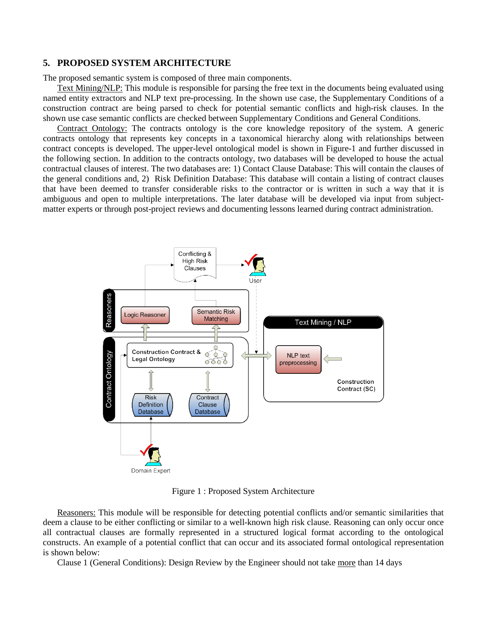### **5. PROPOSED SYSTEM ARCHITECTURE**

The proposed semantic system is composed of three main components.

Text Mining/NLP: This module is responsible for parsing the free text in the documents being evaluated using named entity extractors and NLP text pre-processing. In the shown use case, the Supplementary Conditions of a construction contract are being parsed to check for potential semantic conflicts and high-risk clauses. In the shown use case semantic conflicts are checked between Supplementary Conditions and General Conditions.

Contract Ontology: The contracts ontology is the core knowledge repository of the system. A generic contracts ontology that represents key concepts in a taxonomical hierarchy along with relationships between contract concepts is developed. The upper-level ontological model is shown in Figure-1 and further discussed in the following section. In addition to the contracts ontology, two databases will be developed to house the actual contractual clauses of interest. The two databases are: 1) Contact Clause Database: This will contain the clauses of the general conditions and, 2) Risk Definition Database: This database will contain a listing of contract clauses that have been deemed to transfer considerable risks to the contractor or is written in such a way that it is ambiguous and open to multiple interpretations. The later database will be developed via input from subjectmatter experts or through post-project reviews and documenting lessons learned during contract administration.



Figure 1 : Proposed System Architecture

Reasoners: This module will be responsible for detecting potential conflicts and/or semantic similarities that deem a clause to be either conflicting or similar to a well-known high risk clause. Reasoning can only occur once all contractual clauses are formally represented in a structured logical format according to the ontological constructs. An example of a potential conflict that can occur and its associated formal ontological representation is shown below:

Clause 1 (General Conditions): Design Review by the Engineer should not take more than 14 days